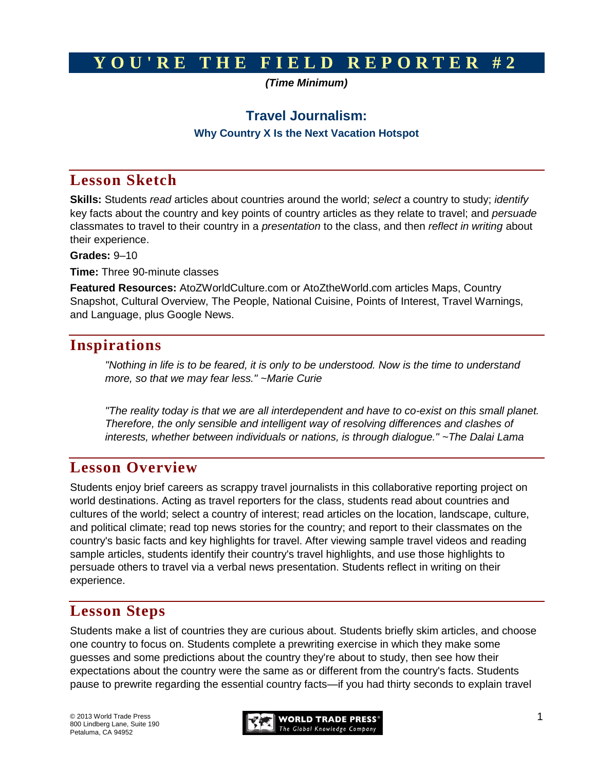# **Y O U ' R E T H E F I E L D R E P O R T E R # 2**

*(Time Minimum)*

### **Travel Journalism:**

**Why Country X Is the Next Vacation Hotspot**

# **Lesson Sketch**

**Skills:** Students *read* articles about countries around the world; *select* a country to study; *identify* key facts about the country and key points of country articles as they relate to travel; and *persuade*  classmates to travel to their country in a *presentation* to the class, and then *reflect in writing* about their experience.

#### **Grades:** 9–10

**Time:** Three 90-minute classes

**Featured Resources:** AtoZWorldCulture.com or AtoZtheWorld.com articles Maps, Country Snapshot, Cultural Overview, The People, National Cuisine, Points of Interest, Travel Warnings, and Language, plus Google News.

## **Inspirations**

*"Nothing in life is to be feared, it is only to be understood. Now is the time to understand more, so that we may fear less." ~Marie Curie*

*"The reality today is that we are all interdependent and have to co-exist on this small planet. Therefore, the only sensible and intelligent way of resolving differences and clashes of interests, whether between individuals or nations, is through dialogue." ~The Dalai Lama*

### **Lesson Overview**

Students enjoy brief careers as scrappy travel journalists in this collaborative reporting project on world destinations. Acting as travel reporters for the class, students read about countries and cultures of the world; select a country of interest; read articles on the location, landscape, culture, and political climate; read top news stories for the country; and report to their classmates on the country's basic facts and key highlights for travel. After viewing sample travel videos and reading sample articles, students identify their country's travel highlights, and use those highlights to persuade others to travel via a verbal news presentation. Students reflect in writing on their experience.

## **Lesson Steps**

Students make a list of countries they are curious about. Students briefly skim articles, and choose one country to focus on. Students complete a prewriting exercise in which they make some guesses and some predictions about the country they're about to study, then see how their expectations about the country were the same as or different from the country's facts. Students pause to prewrite regarding the essential country facts—if you had thirty seconds to explain travel

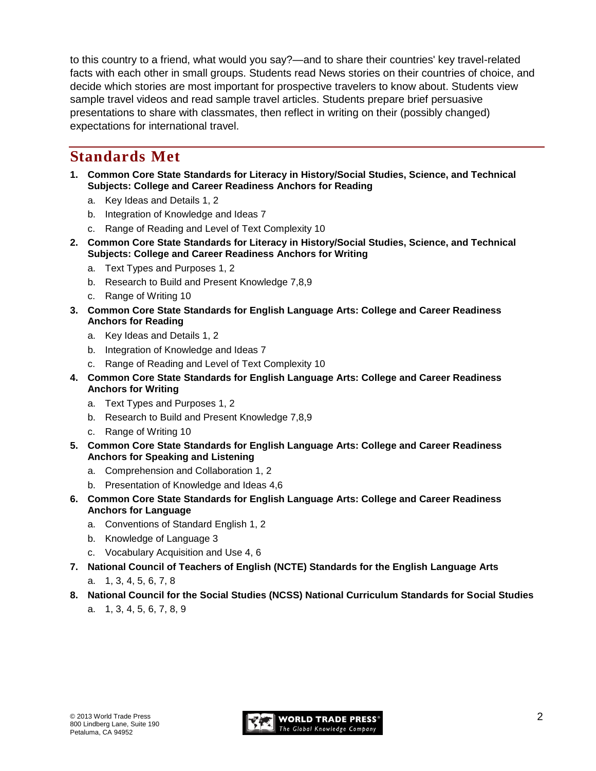to this country to a friend, what would you say?—and to share their countries' key travel-related facts with each other in small groups. Students read News stories on their countries of choice, and decide which stories are most important for prospective travelers to know about. Students view sample travel videos and read sample travel articles. Students prepare brief persuasive presentations to share with classmates, then reflect in writing on their (possibly changed) expectations for international travel.

# **Standards Met**

- **1. Common Core State Standards for Literacy in History/Social Studies, Science, and Technical Subjects: College and Career Readiness Anchors for Reading**
	- a. Key Ideas and Details 1, 2
	- b. Integration of Knowledge and Ideas 7
	- c. Range of Reading and Level of Text Complexity 10
- **2. Common Core State Standards for Literacy in History/Social Studies, Science, and Technical Subjects: College and Career Readiness Anchors for Writing**
	- a. Text Types and Purposes 1, 2
	- b. Research to Build and Present Knowledge 7,8,9
	- c. Range of Writing 10
- **3. Common Core State Standards for English Language Arts: College and Career Readiness Anchors for Reading**
	- a. Key Ideas and Details 1, 2
	- b. Integration of Knowledge and Ideas 7
	- c. Range of Reading and Level of Text Complexity 10
- **4. Common Core State Standards for English Language Arts: College and Career Readiness Anchors for Writing**
	- a. Text Types and Purposes 1, 2
	- b. Research to Build and Present Knowledge 7,8,9
	- c. Range of Writing 10
- **5. Common Core State Standards for English Language Arts: College and Career Readiness Anchors for Speaking and Listening**
	- a. Comprehension and Collaboration 1, 2
	- b. Presentation of Knowledge and Ideas 4,6
- **6. Common Core State Standards for English Language Arts: College and Career Readiness Anchors for Language**
	- a. Conventions of Standard English 1, 2
	- b. Knowledge of Language 3
	- c. Vocabulary Acquisition and Use 4, 6
- **7. National Council of Teachers of English (NCTE) Standards for the English Language Arts**
	- a. 1, 3, 4, 5, 6, 7, 8
- **8. National Council for the Social Studies (NCSS) National Curriculum Standards for Social Studies** 
	- a. 1, 3, 4, 5, 6, 7, 8, 9

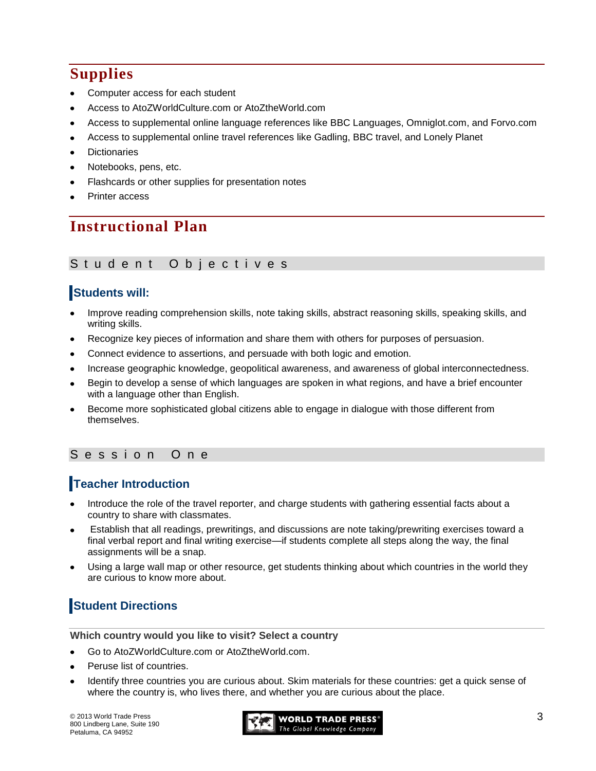# **Supplies**

- Computer access for each student
- Access to AtoZWorldCulture.com or AtoZtheWorld.com
- Access to supplemental online language references like BBC Languages, Omniglot.com, and Forvo.com
- Access to supplemental online travel references like Gadling, BBC travel, and Lonely Planet
- **Dictionaries**
- Notebooks, pens, etc.
- Flashcards or other supplies for presentation notes
- Printer access

# **Instructional Plan**

#### Student Objectives

## **Students will:**

- Improve reading comprehension skills, note taking skills, abstract reasoning skills, speaking skills, and writing skills.
- Recognize key pieces of information and share them with others for purposes of persuasion.
- Connect evidence to assertions, and persuade with both logic and emotion.
- Increase geographic knowledge, geopolitical awareness, and awareness of global interconnectedness.
- Begin to develop a sense of which languages are spoken in what regions, and have a brief encounter with a language other than English.
- Become more sophisticated global citizens able to engage in dialogue with those different from themselves.

### Session One

### **Teacher Introduction**

- Introduce the role of the travel reporter, and charge students with gathering essential facts about a country to share with classmates.
- Establish that all readings, prewritings, and discussions are note taking/prewriting exercises toward a final verbal report and final writing exercise—if students complete all steps along the way, the final assignments will be a snap.
- Using a large wall map or other resource, get students thinking about which countries in the world they are curious to know more about.

# **Student Directions**

#### **Which country would you like to visit? Select a country**

- Go to AtoZWorldCulture.com or AtoZtheWorld.com.
- Peruse list of countries.
- Identify three countries you are curious about. Skim materials for these countries: get a quick sense of where the country is, who lives there, and whether you are curious about the place.

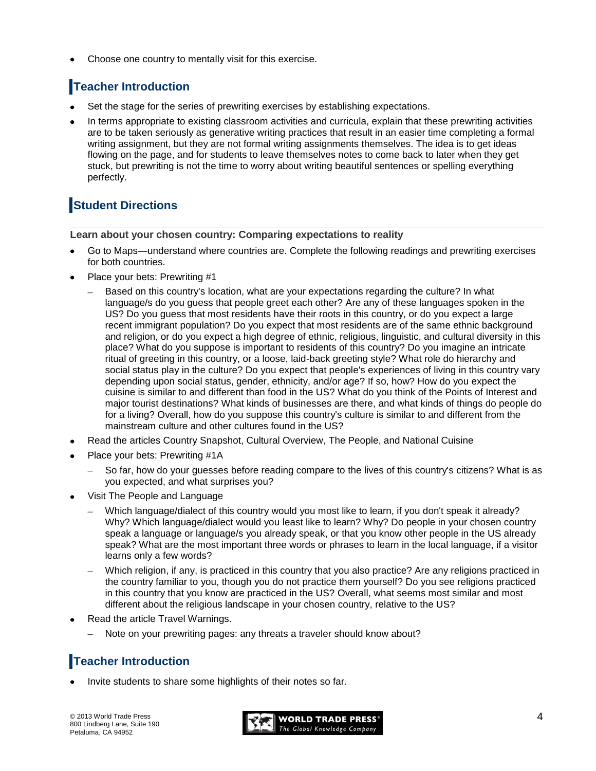Choose one country to mentally visit for this exercise.

## **Teacher Introduction**

- Set the stage for the series of prewriting exercises by establishing expectations.
- In terms appropriate to existing classroom activities and curricula, explain that these prewriting activities are to be taken seriously as generative writing practices that result in an easier time completing a formal writing assignment, but they are not formal writing assignments themselves. The idea is to get ideas flowing on the page, and for students to leave themselves notes to come back to later when they get stuck, but prewriting is not the time to worry about writing beautiful sentences or spelling everything perfectly.

# **Student Directions**

**Learn about your chosen country: Comparing expectations to reality**

- Go to Maps—understand where countries are. Complete the following readings and prewriting exercises for both countries.
- Place your bets: Prewriting #1
	- Based on this country's location, what are your expectations regarding the culture? In what language/s do you guess that people greet each other? Are any of these languages spoken in the US? Do you guess that most residents have their roots in this country, or do you expect a large recent immigrant population? Do you expect that most residents are of the same ethnic background and religion, or do you expect a high degree of ethnic, religious, linguistic, and cultural diversity in this place? What do you suppose is important to residents of this country? Do you imagine an intricate ritual of greeting in this country, or a loose, laid-back greeting style? What role do hierarchy and social status play in the culture? Do you expect that people's experiences of living in this country vary depending upon social status, gender, ethnicity, and/or age? If so, how? How do you expect the cuisine is similar to and different than food in the US? What do you think of the Points of Interest and major tourist destinations? What kinds of businesses are there, and what kinds of things do people do for a living? Overall, how do you suppose this country's culture is similar to and different from the mainstream culture and other cultures found in the US?
- Read the articles Country Snapshot, Cultural Overview, The People, and National Cuisine
- Place your bets: Prewriting #1A
	- So far, how do your guesses before reading compare to the lives of this country's citizens? What is as you expected, and what surprises you?
- Visit The People and Language
	- Which language/dialect of this country would you most like to learn, if you don't speak it already? Why? Which language/dialect would you least like to learn? Why? Do people in your chosen country speak a language or language/s you already speak, or that you know other people in the US already speak? What are the most important three words or phrases to learn in the local language, if a visitor learns only a few words?
	- Which religion, if any, is practiced in this country that you also practice? Are any religions practiced in the country familiar to you, though you do not practice them yourself? Do you see religions practiced in this country that you know are practiced in the US? Overall, what seems most similar and most different about the religious landscape in your chosen country, relative to the US?
- Read the article Travel Warnings.
	- Note on your prewriting pages: any threats a traveler should know about?

# **Teacher Introduction**

Invite students to share some highlights of their notes so far.

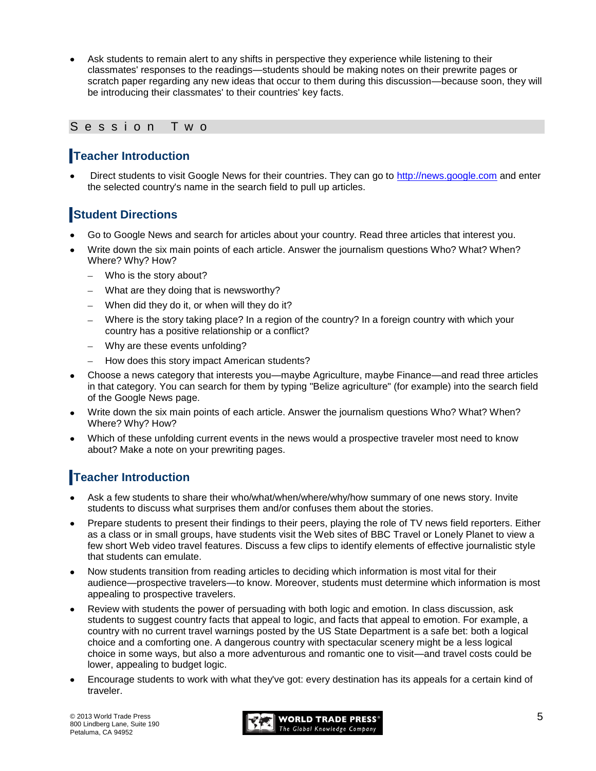Ask students to remain alert to any shifts in perspective they experience while listening to their classmates' responses to the readings—students should be making notes on their prewrite pages or scratch paper regarding any new ideas that occur to them during this discussion—because soon, they will be introducing their classmates' to their countries' key facts.

#### S e s s i o n T w o

### **Teacher Introduction**

Direct students to visit Google News for their countries. They can go to [http://news.google.com](http://news.google.com/) and enter the selected country's name in the search field to pull up articles.

## **Student Directions**

- Go to Google News and search for articles about your country. Read three articles that interest you.
- Write down the six main points of each article. Answer the journalism questions Who? What? When? Where? Why? How?
	- Who is the story about?
	- What are they doing that is newsworthy?
	- When did they do it, or when will they do it?
	- Where is the story taking place? In a region of the country? In a foreign country with which your country has a positive relationship or a conflict?
	- Why are these events unfolding?  $\equiv$
	- How does this story impact American students?
- Choose a news category that interests you—maybe Agriculture, maybe Finance—and read three articles in that category. You can search for them by typing "Belize agriculture" (for example) into the search field of the Google News page.
- Write down the six main points of each article. Answer the journalism questions Who? What? When? Where? Why? How?
- Which of these unfolding current events in the news would a prospective traveler most need to know about? Make a note on your prewriting pages.

## **Teacher Introduction**

- Ask a few students to share their who/what/when/where/why/how summary of one news story. Invite students to discuss what surprises them and/or confuses them about the stories.
- Prepare students to present their findings to their peers, playing the role of TV news field reporters. Either as a class or in small groups, have students visit the Web sites of BBC Travel or Lonely Planet to view a few short Web video travel features. Discuss a few clips to identify elements of effective journalistic style that students can emulate.
- Now students transition from reading articles to deciding which information is most vital for their audience—prospective travelers—to know. Moreover, students must determine which information is most appealing to prospective travelers.
- Review with students the power of persuading with both logic and emotion. In class discussion, ask students to suggest country facts that appeal to logic, and facts that appeal to emotion. For example, a country with no current travel warnings posted by the US State Department is a safe bet: both a logical choice and a comforting one. A dangerous country with spectacular scenery might be a less logical choice in some ways, but also a more adventurous and romantic one to visit—and travel costs could be lower, appealing to budget logic.
- Encourage students to work with what they've got: every destination has its appeals for a certain kind of traveler.

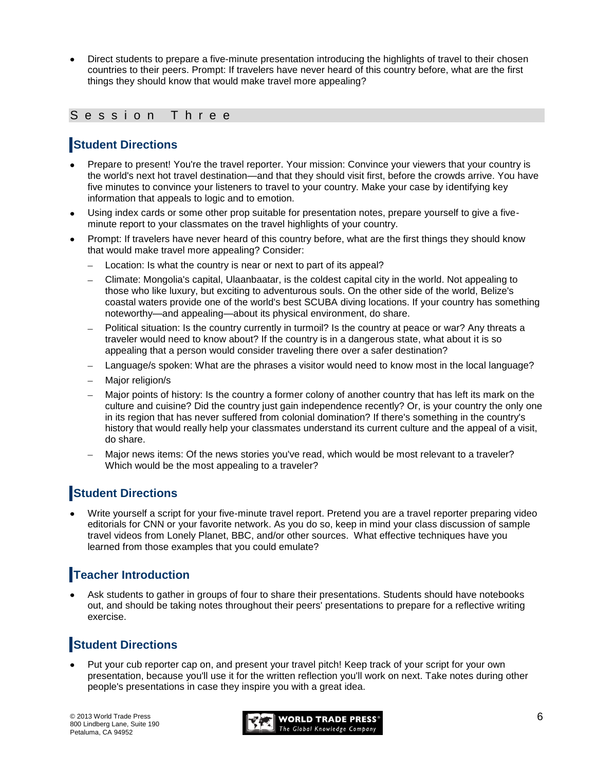Direct students to prepare a five-minute presentation introducing the highlights of travel to their chosen countries to their peers. Prompt: If travelers have never heard of this country before, what are the first things they should know that would make travel more appealing?

#### S e s s i o n T h r e e

### **Student Directions**

- Prepare to present! You're the travel reporter. Your mission: Convince your viewers that your country is the world's next hot travel destination—and that they should visit first, before the crowds arrive. You have five minutes to convince your listeners to travel to your country. Make your case by identifying key information that appeals to logic and to emotion.
- Using index cards or some other prop suitable for presentation notes, prepare yourself to give a fiveminute report to your classmates on the travel highlights of your country.
- Prompt: If travelers have never heard of this country before, what are the first things they should know that would make travel more appealing? Consider:
	- Location: Is what the country is near or next to part of its appeal? L,
	- Climate: Mongolia's capital, Ulaanbaatar, is the coldest capital city in the world. Not appealing to those who like luxury, but exciting to adventurous souls. On the other side of the world, Belize's coastal waters provide one of the world's best SCUBA diving locations. If your country has something noteworthy—and appealing—about its physical environment, do share.
	- Political situation: Is the country currently in turmoil? Is the country at peace or war? Any threats a traveler would need to know about? If the country is in a dangerous state, what about it is so appealing that a person would consider traveling there over a safer destination?
	- Language/s spoken: What are the phrases a visitor would need to know most in the local language?
	- Major religion/s
	- Major points of history: Is the country a former colony of another country that has left its mark on the culture and cuisine? Did the country just gain independence recently? Or, is your country the only one in its region that has never suffered from colonial domination? If there's something in the country's history that would really help your classmates understand its current culture and the appeal of a visit, do share.
	- Major news items: Of the news stories you've read, which would be most relevant to a traveler? Which would be the most appealing to a traveler?

### **Student Directions**

Write yourself a script for your five-minute travel report. Pretend you are a travel reporter preparing video editorials for CNN or your favorite network. As you do so, keep in mind your class discussion of sample travel videos from Lonely Planet, BBC, and/or other sources. What effective techniques have you learned from those examples that you could emulate?

### **Teacher Introduction**

Ask students to gather in groups of four to share their presentations. Students should have notebooks out, and should be taking notes throughout their peers' presentations to prepare for a reflective writing exercise.

## **Student Directions**

Put your cub reporter cap on, and present your travel pitch! Keep track of your script for your own presentation, because you'll use it for the written reflection you'll work on next. Take notes during other people's presentations in case they inspire you with a great idea.